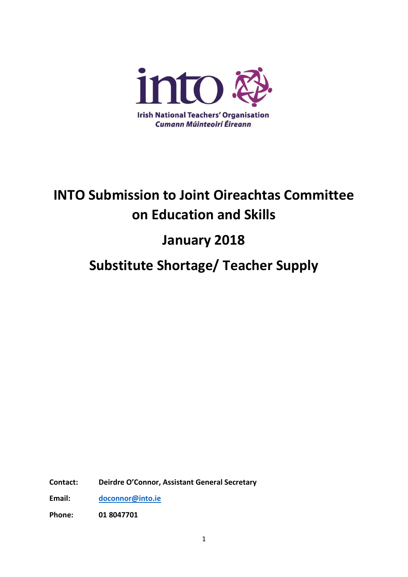

# **INTO Submission to Joint Oireachtas Committee on Education and Skills**

## **January 2018**

### **Substitute Shortage/ Teacher Supply**

**Contact: Deirdre O'Connor, Assistant General Secretary**

**Email: [doconnor@into.ie](mailto:doconnor@into.ie)**

**Phone: 01 8047701**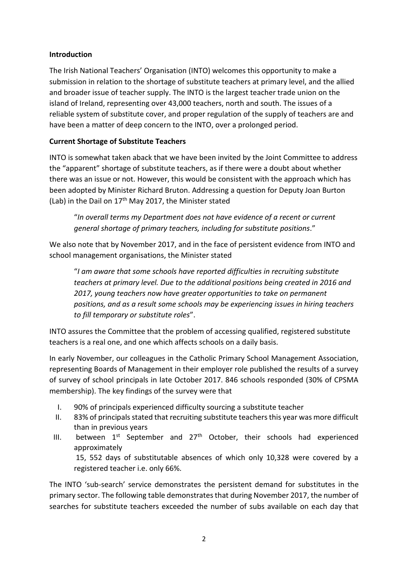#### **Introduction**

The Irish National Teachers' Organisation (INTO) welcomes this opportunity to make a submission in relation to the shortage of substitute teachers at primary level, and the allied and broader issue of teacher supply. The INTO is the largest teacher trade union on the island of Ireland, representing over 43,000 teachers, north and south. The issues of a reliable system of substitute cover, and proper regulation of the supply of teachers are and have been a matter of deep concern to the INTO, over a prolonged period.

#### **Current Shortage of Substitute Teachers**

INTO is somewhat taken aback that we have been invited by the Joint Committee to address the "apparent" shortage of substitute teachers, as if there were a doubt about whether there was an issue or not. However, this would be consistent with the approach which has been adopted by Minister Richard Bruton. Addressing a question for Deputy Joan Burton (Lab) in the Dail on  $17<sup>th</sup>$  May 2017, the Minister stated

"*In overall terms my Department does not have evidence of a recent or current general shortage of primary teachers, including for substitute positions*."

We also note that by November 2017, and in the face of persistent evidence from INTO and school management organisations, the Minister stated

"*I am aware that some schools have reported difficulties in recruiting substitute teachers at primary level. Due to the additional positions being created in 2016 and 2017, young teachers now have greater opportunities to take on permanent positions, and as a result some schools may be experiencing issues in hiring teachers to fill temporary or substitute roles*".

INTO assures the Committee that the problem of accessing qualified, registered substitute teachers is a real one, and one which affects schools on a daily basis.

In early November, our colleagues in the Catholic Primary School Management Association, representing Boards of Management in their employer role published the results of a survey of survey of school principals in late October 2017. 846 schools responded (30% of CPSMA membership). The key findings of the survey were that

I. 90% of principals experienced difficulty sourcing a substitute teacher

registered teacher i.e. only 66%.

- II. 83% of principals stated that recruiting substitute teachers this year was more difficult than in previous years
- III. between  $1^{st}$  September and  $27^{th}$  October, their schools had experienced approximately 15, 552 days of substitutable absences of which only 10,328 were covered by a

The INTO 'sub-search' service demonstrates the persistent demand for substitutes in the primary sector. The following table demonstrates that during November 2017, the number of searches for substitute teachers exceeded the number of subs available on each day that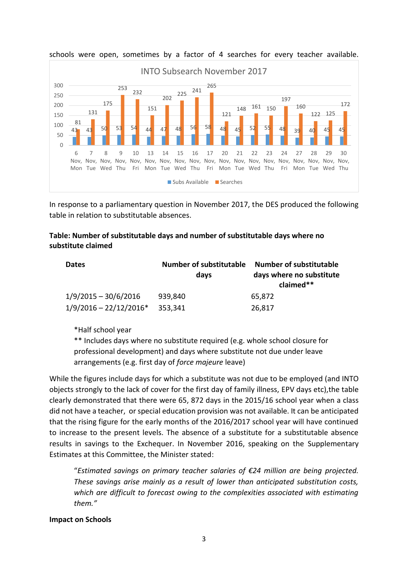



In response to a parliamentary question in November 2017, the DES produced the following table in relation to substitutable absences.

#### **Table: Number of substitutable days and number of substitutable days where no substitute claimed**

| <b>Dates</b>             | <b>Number of substitutable</b><br>days | <b>Number of substitutable</b><br>days where no substitute<br>claimed** |
|--------------------------|----------------------------------------|-------------------------------------------------------------------------|
| $1/9/2015 - 30/6/2016$   | 939,840                                | 65,872                                                                  |
| $1/9/2016 - 22/12/2016*$ | 353,341                                | 26,817                                                                  |

\*Half school year

\*\* Includes days where no substitute required (e.g. whole school closure for professional development) and days where substitute not due under leave arrangements (e.g. first day of *force majeure* leave)

While the figures include days for which a substitute was not due to be employed (and INTO objects strongly to the lack of cover for the first day of family illness, EPV days etc),the table clearly demonstrated that there were 65, 872 days in the 2015/16 school year when a class did not have a teacher, or special education provision was not available. It can be anticipated that the rising figure for the early months of the 2016/2017 school year will have continued to increase to the present levels. The absence of a substitute for a substitutable absence results in savings to the Exchequer. In November 2016, speaking on the Supplementary Estimates at this Committee, the Minister stated:

"*Estimated savings on primary teacher salaries of €24 million are being projected. These savings arise mainly as a result of lower than anticipated substitution costs, which are difficult to forecast owing to the complexities associated with estimating them."* 

### **Impact on Schools**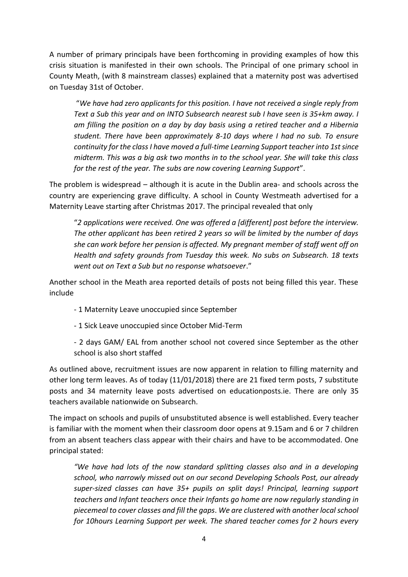A number of primary principals have been forthcoming in providing examples of how this crisis situation is manifested in their own schools. The Principal of one primary school in County Meath, (with 8 mainstream classes) explained that a maternity post was advertised on Tuesday 31st of October.

"*We have had zero applicants for this position. I have not received a single reply from Text a Sub this year and on INTO Subsearch nearest sub I have seen is 35+km away. I am filling the position on a day by day basis using a retired teacher and a Hibernia student. There have been approximately 8-10 days where I had no sub. To ensure continuity for the class I have moved a full-time Learning Support teacher into 1st since midterm. This was a big ask two months in to the school year. She will take this class for the rest of the year. The subs are now covering Learning Support*".

The problem is widespread – although it is acute in the Dublin area- and schools across the country are experiencing grave difficulty. A school in County Westmeath advertised for a Maternity Leave starting after Christmas 2017. The principal revealed that only

"*2 applications were received. One was offered a [different] post before the interview. The other applicant has been retired 2 years so will be limited by the number of days she can work before her pension is affected. My pregnant member of staff went off on Health and safety grounds from Tuesday this week. No subs on Subsearch. 18 texts went out on Text a Sub but no response whatsoever*."

Another school in the Meath area reported details of posts not being filled this year. These include

- 1 Maternity Leave unoccupied since September
- 1 Sick Leave unoccupied since October Mid-Term

- 2 days GAM/ EAL from another school not covered since September as the other school is also short staffed

As outlined above, recruitment issues are now apparent in relation to filling maternity and other long term leaves. As of today (11/01/2018) there are 21 fixed term posts, 7 substitute posts and 34 maternity leave posts advertised on educationposts.ie. There are only 35 teachers available nationwide on Subsearch.

The impact on schools and pupils of unsubstituted absence is well established. Every teacher is familiar with the moment when their classroom door opens at 9.15am and 6 or 7 children from an absent teachers class appear with their chairs and have to be accommodated. One principal stated:

*"We have had lots of the now standard splitting classes also and in a developing school, who narrowly missed out on our second Developing Schools Post, our already super-sized classes can have 35+ pupils on split days! Principal, learning support teachers and Infant teachers once their Infants go home are now regularly standing in piecemeal to cover classes and fill the gaps*. *We are clustered with another local school for 10hours Learning Support per week. The shared teacher comes for 2 hours every*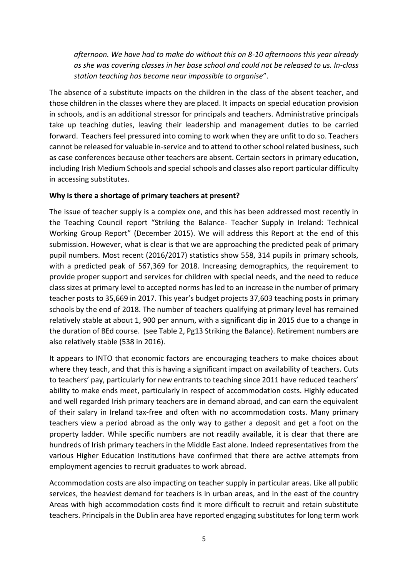*afternoon. We have had to make do without this on 8-10 afternoons this year already as she was covering classes in her base school and could not be released to us. In-class station teaching has become near impossible to organise*".

The absence of a substitute impacts on the children in the class of the absent teacher, and those children in the classes where they are placed. It impacts on special education provision in schools, and is an additional stressor for principals and teachers. Administrative principals take up teaching duties, leaving their leadership and management duties to be carried forward. Teachers feel pressured into coming to work when they are unfit to do so. Teachers cannot be released for valuable in-service and to attend to other school related business, such as case conferences because other teachers are absent. Certain sectors in primary education, including Irish Medium Schools and special schools and classes also report particular difficulty in accessing substitutes.

#### **Why is there a shortage of primary teachers at present?**

The issue of teacher supply is a complex one, and this has been addressed most recently in the Teaching Council report "Striking the Balance- Teacher Supply in Ireland: Technical Working Group Report" (December 2015). We will address this Report at the end of this submission. However, what is clear is that we are approaching the predicted peak of primary pupil numbers. Most recent (2016/2017) statistics show 558, 314 pupils in primary schools, with a predicted peak of 567,369 for 2018. Increasing demographics, the requirement to provide proper support and services for children with special needs, and the need to reduce class sizes at primary level to accepted norms has led to an increase in the number of primary teacher posts to 35,669 in 2017. This year's budget projects 37,603 teaching posts in primary schools by the end of 2018. The number of teachers qualifying at primary level has remained relatively stable at about 1, 900 per annum, with a significant dip in 2015 due to a change in the duration of BEd course. (see Table 2, Pg13 Striking the Balance). Retirement numbers are also relatively stable (538 in 2016).

It appears to INTO that economic factors are encouraging teachers to make choices about where they teach, and that this is having a significant impact on availability of teachers. Cuts to teachers' pay, particularly for new entrants to teaching since 2011 have reduced teachers' ability to make ends meet, particularly in respect of accommodation costs. Highly educated and well regarded Irish primary teachers are in demand abroad, and can earn the equivalent of their salary in Ireland tax-free and often with no accommodation costs. Many primary teachers view a period abroad as the only way to gather a deposit and get a foot on the property ladder. While specific numbers are not readily available, it is clear that there are hundreds of Irish primary teachers in the Middle East alone. Indeed representatives from the various Higher Education Institutions have confirmed that there are active attempts from employment agencies to recruit graduates to work abroad.

Accommodation costs are also impacting on teacher supply in particular areas. Like all public services, the heaviest demand for teachers is in urban areas, and in the east of the country Areas with high accommodation costs find it more difficult to recruit and retain substitute teachers. Principals in the Dublin area have reported engaging substitutes for long term work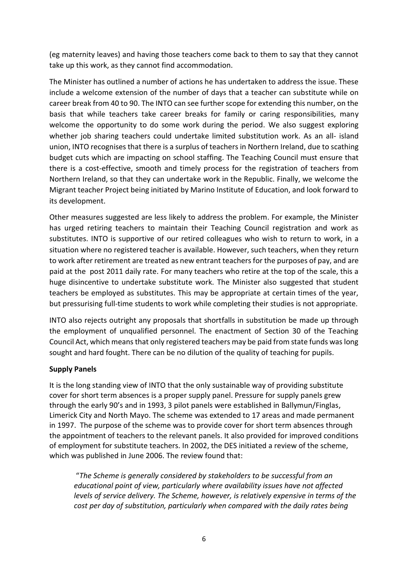(eg maternity leaves) and having those teachers come back to them to say that they cannot take up this work, as they cannot find accommodation.

The Minister has outlined a number of actions he has undertaken to address the issue. These include a welcome extension of the number of days that a teacher can substitute while on career break from 40 to 90. The INTO can see further scope for extending this number, on the basis that while teachers take career breaks for family or caring responsibilities, many welcome the opportunity to do some work during the period. We also suggest exploring whether job sharing teachers could undertake limited substitution work. As an all- island union, INTO recognises that there is a surplus of teachers in Northern Ireland, due to scathing budget cuts which are impacting on school staffing. The Teaching Council must ensure that there is a cost-effective, smooth and timely process for the registration of teachers from Northern Ireland, so that they can undertake work in the Republic. Finally, we welcome the Migrant teacher Project being initiated by Marino Institute of Education, and look forward to its development.

Other measures suggested are less likely to address the problem. For example, the Minister has urged retiring teachers to maintain their Teaching Council registration and work as substitutes. INTO is supportive of our retired colleagues who wish to return to work, in a situation where no registered teacher is available. However, such teachers, when they return to work after retirement are treated as new entrant teachers for the purposes of pay, and are paid at the post 2011 daily rate. For many teachers who retire at the top of the scale, this a huge disincentive to undertake substitute work. The Minister also suggested that student teachers be employed as substitutes. This may be appropriate at certain times of the year, but pressurising full-time students to work while completing their studies is not appropriate.

INTO also rejects outright any proposals that shortfalls in substitution be made up through the employment of unqualified personnel. The enactment of Section 30 of the Teaching Council Act, which means that only registered teachers may be paid from state funds was long sought and hard fought. There can be no dilution of the quality of teaching for pupils.

#### **Supply Panels**

It is the long standing view of INTO that the only sustainable way of providing substitute cover for short term absences is a proper supply panel. Pressure for supply panels grew through the early 90's and in 1993, 3 pilot panels were established in Ballymun/Finglas, Limerick City and North Mayo. The scheme was extended to 17 areas and made permanent in 1997. The purpose of the scheme was to provide cover for short term absences through the appointment of teachers to the relevant panels. It also provided for improved conditions of employment for substitute teachers. In 2002, the DES initiated a review of the scheme, which was published in June 2006. The review found that:

"*The Scheme is generally considered by stakeholders to be successful from an educational point of view, particularly where availability issues have not affected levels of service delivery. The Scheme, however, is relatively expensive in terms of the cost per day of substitution, particularly when compared with the daily rates being*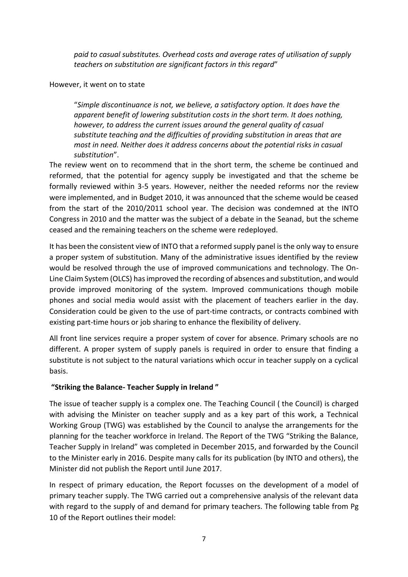*paid to casual substitutes. Overhead costs and average rates of utilisation of supply teachers on substitution are significant factors in this regard*"

#### However, it went on to state

"*Simple discontinuance is not, we believe, a satisfactory option. It does have the apparent benefit of lowering substitution costs in the short term. It does nothing, however, to address the current issues around the general quality of casual substitute teaching and the difficulties of providing substitution in areas that are most in need. Neither does it address concerns about the potential risks in casual substitution*".

The review went on to recommend that in the short term, the scheme be continued and reformed, that the potential for agency supply be investigated and that the scheme be formally reviewed within 3-5 years. However, neither the needed reforms nor the review were implemented, and in Budget 2010, it was announced that the scheme would be ceased from the start of the 2010/2011 school year. The decision was condemned at the INTO Congress in 2010 and the matter was the subject of a debate in the Seanad, but the scheme ceased and the remaining teachers on the scheme were redeployed.

It has been the consistent view of INTO that a reformed supply panel is the only way to ensure a proper system of substitution. Many of the administrative issues identified by the review would be resolved through the use of improved communications and technology. The On-Line Claim System (OLCS) has improved the recording of absences and substitution, and would provide improved monitoring of the system. Improved communications though mobile phones and social media would assist with the placement of teachers earlier in the day. Consideration could be given to the use of part-time contracts, or contracts combined with existing part-time hours or job sharing to enhance the flexibility of delivery.

All front line services require a proper system of cover for absence. Primary schools are no different. A proper system of supply panels is required in order to ensure that finding a substitute is not subject to the natural variations which occur in teacher supply on a cyclical basis.

#### **"Striking the Balance- Teacher Supply in Ireland "**

The issue of teacher supply is a complex one. The Teaching Council ( the Council) is charged with advising the Minister on teacher supply and as a key part of this work, a Technical Working Group (TWG) was established by the Council to analyse the arrangements for the planning for the teacher workforce in Ireland. The Report of the TWG "Striking the Balance, Teacher Supply in Ireland" was completed in December 2015, and forwarded by the Council to the Minister early in 2016. Despite many calls for its publication (by INTO and others), the Minister did not publish the Report until June 2017.

In respect of primary education, the Report focusses on the development of a model of primary teacher supply. The TWG carried out a comprehensive analysis of the relevant data with regard to the supply of and demand for primary teachers. The following table from Pg 10 of the Report outlines their model: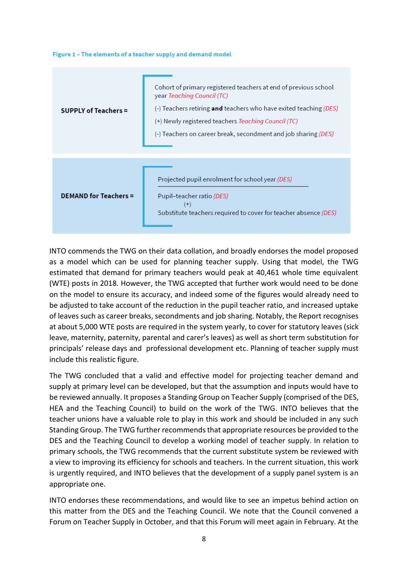#### Figure 1 - The elements of a teacher supply and demand model

| <b>SUPPLY of Teachers =</b>  | Cohort of primary registered teachers at end of previous school<br>year Teaching Council (TC)<br>(-) Teachers retiring <b>and</b> teachers who have exited teaching (DES)<br>(+) Newly registered teachers <i>Teaching Council (TC)</i><br>(-) Teachers on career break, secondment and job sharing (DES) |
|------------------------------|-----------------------------------------------------------------------------------------------------------------------------------------------------------------------------------------------------------------------------------------------------------------------------------------------------------|
| <b>DEMAND for Teachers =</b> | Projected pupil enrolment for school year (DES)<br>Pupil-teacher ratio (DES)<br>$^{(+)}$<br>Substitute teachers required to cover for teacher absence (DES)                                                                                                                                               |

INTO commends the TWG on their data collation, and broadly endorses the model proposed as a model which can be used for planning teacher supply. Using that model, the TWG estimated that demand for primary teachers would peak at 40,461 whole time equivalent (WTE) posts in 2018. However, the TWG accepted that further work would need to be done on the model to ensure its accuracy, and indeed some of the figures would already need to be adjusted to take account of the reduction in the pupil teacher ratio, and increased uptake of leaves such as career breaks, secondments and job sharing. Notably, the Report recognises at about 5,000 WTE posts are required in the system yearly, to cover for statutory leaves (sick leave, maternity, paternity, parental and carer's leaves) as well as short term substitution for principals' release days and professional development etc. Planning of teacher supply must include this realistic figure.

The TWG concluded that a valid and effective model for projecting teacher demand and supply at primary level can be developed, but that the assumption and inputs would have to be reviewed annually. It proposes a Standing Group on Teacher Supply (comprised of the DES, HEA and the Teaching Council) to build on the work of the TWG. INTO believes that the teacher unions have a valuable role to play in this work and should be included in any such Standing Group. The TWG further recommends that appropriate resources be provided to the DES and the Teaching Council to develop a working model of teacher supply. In relation to primary schools, the TWG recommends that the current substitute system be reviewed with a view to improving its efficiency for schools and teachers. In the current situation, this work is urgently required, and INTO believes that the development of a supply panel system is an appropriate one.

INTO endorses these recommendations, and would like to see an impetus behind action on this matter from the DES and the Teaching Council. We note that the Council convened a Forum on Teacher Supply in October, and that this Forum will meet again in February. At the